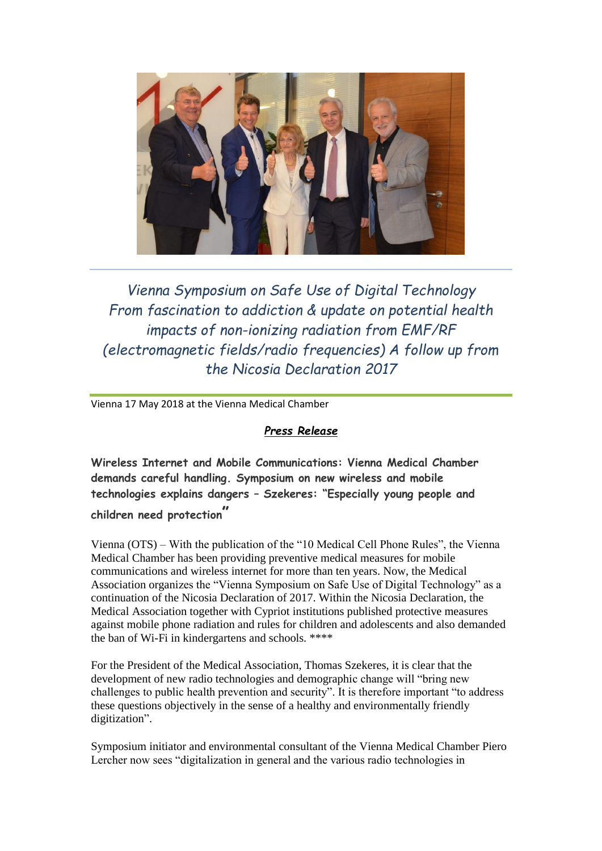

*Vienna Symposium on Safe Use of Digital Technology From fascination to addiction & update on potential health impacts of non-ionizing radiation from EMF/RF (electromagnetic fields/radio frequencies) A follow up from the Nicosia Declaration 2017*

Vienna 17 May 2018 at the Vienna Medical Chamber

## *Press Release*

**Wireless Internet and Mobile Communications: Vienna Medical Chamber demands careful handling. Symposium on new wireless and mobile technologies explains dangers – Szekeres: "Especially young people and children need protection"** 

Vienna (OTS) – With the publication of the "10 Medical Cell Phone Rules", the Vienna Medical Chamber has been providing preventive medical measures for mobile communications and wireless internet for more than ten years. Now, the Medical Association organizes the "Vienna Symposium on Safe Use of Digital Technology" as a continuation of the Nicosia Declaration of 2017. Within the Nicosia Declaration, the Medical Association together with Cypriot institutions published protective measures against mobile phone radiation and rules for children and adolescents and also demanded the ban of Wi-Fi in kindergartens and schools. \*\*\*\*

For the President of the Medical Association, Thomas Szekeres, it is clear that the development of new radio technologies and demographic change will "bring new challenges to public health prevention and security". It is therefore important "to address these questions objectively in the sense of a healthy and environmentally friendly digitization".

Symposium initiator and environmental consultant of the Vienna Medical Chamber Piero Lercher now sees "digitalization in general and the various radio technologies in